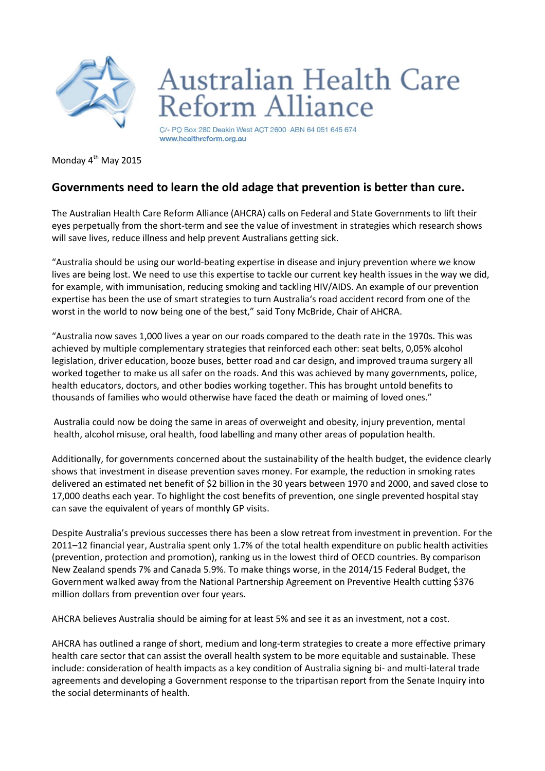

## **Australian Health Care** eform Alliance

C/- PO Box 280 Deakin West ACT 2600 ABN 64 051 645 674 www.healthreform.org.au

Monday 4<sup>th</sup> May 2015

## **Governments need to learn the old adage that prevention is better than cure.**

The Australian Health Care Reform Alliance (AHCRA) calls on Federal and State Governments to lift their eyes perpetually from the short-term and see the value of investment in strategies which research shows will save lives, reduce illness and help prevent Australians getting sick.

"Australia should be using our world-beating expertise in disease and injury prevention where we know lives are being lost. We need to use this expertise to tackle our current key health issues in the way we did, for example, with immunisation, reducing smoking and tackling HIV/AIDS. An example of our prevention expertise has been the use of smart strategies to turn Australia's road accident record from one of the worst in the world to now being one of the best," said Tony McBride, Chair of AHCRA.

"Australia now saves 1,000 lives a year on our roads compared to the death rate in the 1970s. This was achieved by multiple complementary strategies that reinforced each other: seat belts, 0,05% alcohol legislation, driver education, booze buses, better road and car design, and improved trauma surgery all worked together to make us all safer on the roads. And this was achieved by many governments, police, health educators, doctors, and other bodies working together. This has brought untold benefits to thousands of families who would otherwise have faced the death or maiming of loved ones."

Australia could now be doing the same in areas of overweight and obesity, injury prevention, mental health, alcohol misuse, oral health, food labelling and many other areas of population health.

Additionally, for governments concerned about the sustainability of the health budget, the evidence clearly shows that investment in disease prevention saves money. For example, the reduction in smoking rates delivered an estimated net benefit of \$2 billion in the 30 years between 1970 and 2000, and saved close to 17,000 deaths each year. To highlight the cost benefits of prevention, one single prevented hospital stay can save the equivalent of years of monthly GP visits.

Despite Australia's previous successes there has been a slow retreat from investment in prevention. For the 2011–12 financial year, Australia spent only 1.7% of the total health expenditure on public health activities (prevention, protection and promotion), ranking us in the lowest third of OECD countries. By comparison New Zealand spends 7% and Canada 5.9%. To make things worse, in the 2014/15 Federal Budget, the Government walked away from the National Partnership Agreement on Preventive Health cutting \$376 million dollars from prevention over four years.

AHCRA believes Australia should be aiming for at least 5% and see it as an investment, not a cost.

AHCRA has outlined a range of short, medium and long-term strategies to create a more effective primary health care sector that can assist the overall health system to be more equitable and sustainable. These include: consideration of health impacts as a key condition of Australia signing bi- and multi-lateral trade agreements and developing a Government response to the tripartisan report from the Senate Inquiry into the social determinants of health.